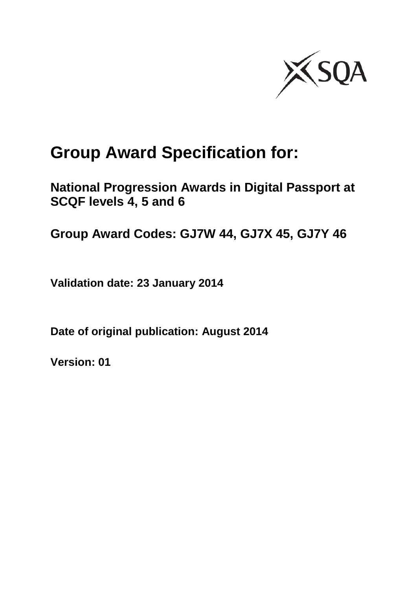

# **Group Award Specification for:**

**National Progression Awards in Digital Passport at SCQF levels 4, 5 and 6**

**Group Award Codes: GJ7W 44, GJ7X 45, GJ7Y 46**

**Validation date: 23 January 2014**

**Date of original publication: August 2014**

**Version: 01**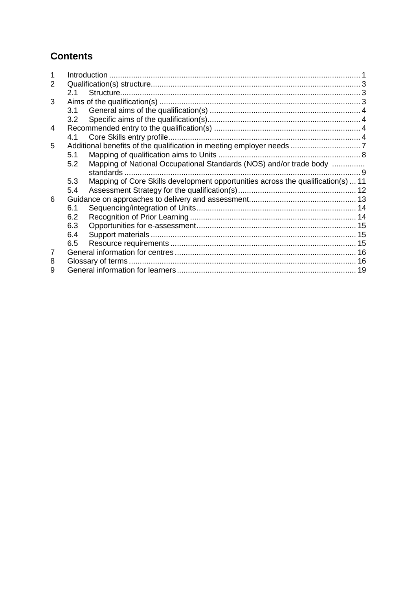## **Contents**

| 2 |     |                                                                                  |  |
|---|-----|----------------------------------------------------------------------------------|--|
|   | 2.1 |                                                                                  |  |
| 3 |     |                                                                                  |  |
|   | 3.1 |                                                                                  |  |
|   | 3.2 |                                                                                  |  |
| 4 |     |                                                                                  |  |
|   | 4.1 |                                                                                  |  |
| 5 |     |                                                                                  |  |
|   | 5.1 |                                                                                  |  |
|   | 5.2 | Mapping of National Occupational Standards (NOS) and/or trade body               |  |
|   |     | standards                                                                        |  |
|   | 5.3 | Mapping of Core Skills development opportunities across the qualification(s)  11 |  |
|   | 5.4 |                                                                                  |  |
| 6 |     |                                                                                  |  |
|   | 6.1 |                                                                                  |  |
|   | 6.2 |                                                                                  |  |
|   | 6.3 |                                                                                  |  |
|   | 6.4 |                                                                                  |  |
|   | 6.5 |                                                                                  |  |
| 7 |     |                                                                                  |  |
| 8 |     |                                                                                  |  |
| 9 |     |                                                                                  |  |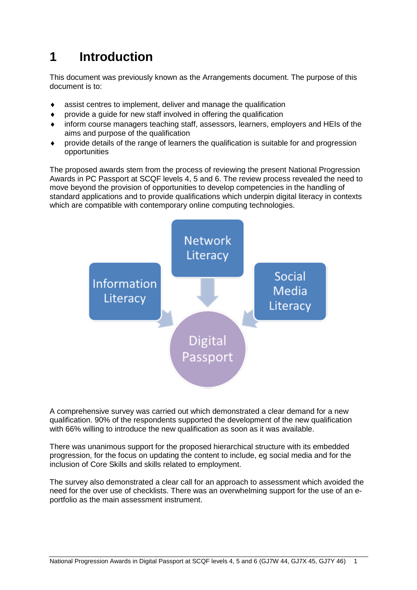# <span id="page-2-0"></span>**1 Introduction**

This document was previously known as the Arrangements document. The purpose of this document is to:

- assist centres to implement, deliver and manage the qualification
- provide a guide for new staff involved in offering the qualification
- inform course managers teaching staff, assessors, learners, employers and HEIs of the aims and purpose of the qualification
- provide details of the range of learners the qualification is suitable for and progression opportunities

The proposed awards stem from the process of reviewing the present National Progression Awards in PC Passport at SCQF levels 4, 5 and 6. The review process revealed the need to move beyond the provision of opportunities to develop competencies in the handling of standard applications and to provide qualifications which underpin digital literacy in contexts which are compatible with contemporary online computing technologies.



A comprehensive survey was carried out which demonstrated a clear demand for a new qualification. 90% of the respondents supported the development of the new qualification with 66% willing to introduce the new qualification as soon as it was available.

There was unanimous support for the proposed hierarchical structure with its embedded progression, for the focus on updating the content to include, eg social media and for the inclusion of Core Skills and skills related to employment.

The survey also demonstrated a clear call for an approach to assessment which avoided the need for the over use of checklists. There was an overwhelming support for the use of an eportfolio as the main assessment instrument.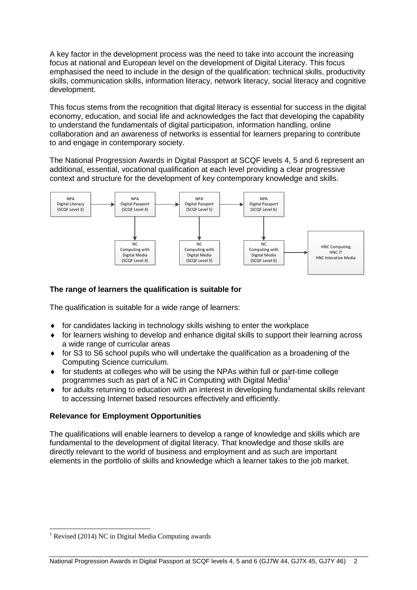A key factor in the development process was the need to take into account the increasing focus at national and European level on the development of Digital Literacy. This focus emphasised the need to include in the design of the qualification: technical skills, productivity skills, communication skills, information literacy, network literacy, social literacy and cognitive development.

This focus stems from the recognition that digital literacy is essential for success in the digital economy, education, and social life and acknowledges the fact that developing the capability to understand the fundamentals of digital participation, information handling, online collaboration and an awareness of networks is essential for learners preparing to contribute to and engage in contemporary society.

The National Progression Awards in Digital Passport at SCQF levels 4, 5 and 6 represent an additional, essential, vocational qualification at each level providing a clear progressive context and structure for the development of key contemporary knowledge and skills.



#### **The range of learners the qualification is suitable for**

The qualification is suitable for a wide range of learners:

- for candidates lacking in technology skills wishing to enter the workplace
- for learners wishing to develop and enhance digital skills to support their learning across a wide range of curricular areas
- for S3 to S6 school pupils who will undertake the qualification as a broadening of the Computing Science curriculum.
- for students at colleges who will be using the NPAs within full or part-time college programmes such as part of a NC in Computing with Digital Media<sup>1</sup>
- for adults returning to education with an interest in developing fundamental skills relevant to accessing Internet based resources effectively and efficiently.

#### **Relevance for Employment Opportunities**

The qualifications will enable learners to develop a range of knowledge and skills which are fundamental to the development of digital literacy. That knowledge and those skills are directly relevant to the world of business and employment and as such are important elements in the portfolio of skills and knowledge which a learner takes to the job market.

 $1$  Revised (2014) NC in Digital Media Computing awards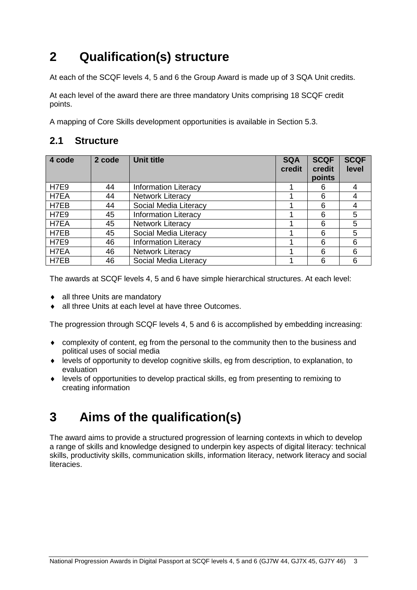# <span id="page-4-0"></span>**2 Qualification(s) structure**

At each of the SCQF levels 4, 5 and 6 the Group Award is made up of 3 SQA Unit credits.

At each level of the award there are three mandatory Units comprising 18 SCQF credit points.

A mapping of Core Skills development opportunities is available in Section 5.3.

### <span id="page-4-1"></span>**2.1 Structure**

| 4 code      | 2 code | <b>Unit title</b>           | <b>SQA</b><br>credit | <b>SCQF</b><br>credit<br>points | <b>SCQF</b><br>level |
|-------------|--------|-----------------------------|----------------------|---------------------------------|----------------------|
| <b>H7E9</b> | 44     | <b>Information Literacy</b> |                      | 6                               |                      |
| H7EA        | 44     | <b>Network Literacy</b>     |                      | 6                               |                      |
| H7EB        | 44     | Social Media Literacy       |                      | 6                               |                      |
| H7E9        | 45     | <b>Information Literacy</b> |                      | 6                               | 5                    |
| H7EA        | 45     | <b>Network Literacy</b>     |                      | 6                               | 5                    |
| H7EB        | 45     | Social Media Literacy       |                      | 6                               | 5                    |
| <b>H7E9</b> | 46     | <b>Information Literacy</b> |                      | 6                               | 6                    |
| H7EA        | 46     | <b>Network Literacy</b>     |                      | 6                               | 6                    |
| H7EB        | 46     | Social Media Literacy       |                      | 6                               | 6                    |

The awards at SCQF levels 4, 5 and 6 have simple hierarchical structures. At each level:

- all three Units are mandatory
- ◆ all three Units at each level at have three Outcomes.

The progression through SCQF levels 4, 5 and 6 is accomplished by embedding increasing:

- complexity of content, eg from the personal to the community then to the business and political uses of social media
- levels of opportunity to develop cognitive skills, eg from description, to explanation, to evaluation
- levels of opportunities to develop practical skills, eg from presenting to remixing to creating information

# <span id="page-4-2"></span>**3 Aims of the qualification(s)**

The award aims to provide a structured progression of learning contexts in which to develop a range of skills and knowledge designed to underpin key aspects of digital literacy: technical skills, productivity skills, communication skills, information literacy, network literacy and social literacies.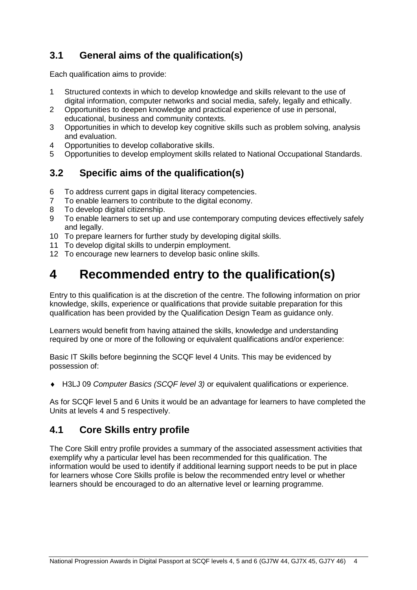# <span id="page-5-0"></span>**3.1 General aims of the qualification(s)**

Each qualification aims to provide:

- 1 Structured contexts in which to develop knowledge and skills relevant to the use of digital information, computer networks and social media, safely, legally and ethically.
- 2 Opportunities to deepen knowledge and practical experience of use in personal, educational, business and community contexts.
- 3 Opportunities in which to develop key cognitive skills such as problem solving, analysis and evaluation.
- 4 Opportunities to develop collaborative skills.
- 5 Opportunities to develop employment skills related to National Occupational Standards.

### <span id="page-5-1"></span>**3.2 Specific aims of the qualification(s)**

- 6 To address current gaps in digital literacy competencies.
- 7 To enable learners to contribute to the digital economy.
- 8 To develop digital citizenship.
- 9 To enable learners to set up and use contemporary computing devices effectively safely and legally.
- 10 To prepare learners for further study by developing digital skills.
- 11 To develop digital skills to underpin employment.
- 12 To encourage new learners to develop basic online skills.

# <span id="page-5-2"></span>**4 Recommended entry to the qualification(s)**

Entry to this qualification is at the discretion of the centre. The following information on prior knowledge, skills, experience or qualifications that provide suitable preparation for this qualification has been provided by the Qualification Design Team as guidance only.

Learners would benefit from having attained the skills, knowledge and understanding required by one or more of the following or equivalent qualifications and/or experience:

Basic IT Skills before beginning the SCQF level 4 Units. This may be evidenced by possession of:

H3LJ 09 *Computer Basics (SCQF level 3)* or equivalent qualifications or experience.

As for SCQF level 5 and 6 Units it would be an advantage for learners to have completed the Units at levels 4 and 5 respectively.

### <span id="page-5-3"></span>**4.1 Core Skills entry profile**

The Core Skill entry profile provides a summary of the associated assessment activities that exemplify why a particular level has been recommended for this qualification. The information would be used to identify if additional learning support needs to be put in place for learners whose Core Skills profile is below the recommended entry level or whether learners should be encouraged to do an alternative level or learning programme.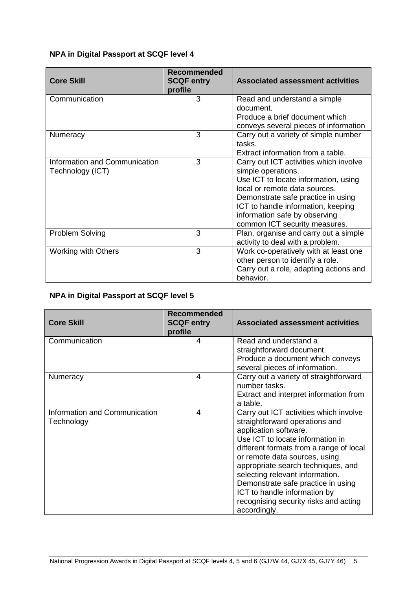#### **NPA in Digital Passport at SCQF level 4**

| <b>Core Skill</b>                                 | <b>Recommended</b><br><b>SCQF entry</b><br>profile | <b>Associated assessment activities</b>                                                                                                                                                                                                                                             |
|---------------------------------------------------|----------------------------------------------------|-------------------------------------------------------------------------------------------------------------------------------------------------------------------------------------------------------------------------------------------------------------------------------------|
| Communication                                     | 3                                                  | Read and understand a simple<br>document.<br>Produce a brief document which<br>conveys several pieces of information                                                                                                                                                                |
| Numeracy                                          | 3                                                  | Carry out a variety of simple number<br>tasks.<br>Extract information from a table.                                                                                                                                                                                                 |
| Information and Communication<br>Technology (ICT) | 3                                                  | Carry out ICT activities which involve<br>simple operations.<br>Use ICT to locate information, using<br>local or remote data sources.<br>Demonstrate safe practice in using<br>ICT to handle information, keeping<br>information safe by observing<br>common ICT security measures. |
| Problem Solving                                   | 3                                                  | Plan, organise and carry out a simple<br>activity to deal with a problem.                                                                                                                                                                                                           |
| <b>Working with Others</b>                        | 3                                                  | Work co-operatively with at least one<br>other person to identify a role.<br>Carry out a role, adapting actions and<br>behavior.                                                                                                                                                    |

#### **NPA in Digital Passport at SCQF level 5**

| <b>Core Skill</b>                           | <b>Recommended</b><br><b>SCQF entry</b><br>profile | <b>Associated assessment activities</b>                                                                                                                                                                                                                                                                                                                                                                                   |
|---------------------------------------------|----------------------------------------------------|---------------------------------------------------------------------------------------------------------------------------------------------------------------------------------------------------------------------------------------------------------------------------------------------------------------------------------------------------------------------------------------------------------------------------|
| Communication                               | 4                                                  | Read and understand a<br>straightforward document.<br>Produce a document which conveys<br>several pieces of information.                                                                                                                                                                                                                                                                                                  |
| Numeracy                                    | 4                                                  | Carry out a variety of straightforward<br>number tasks.<br>Extract and interpret information from<br>a table.                                                                                                                                                                                                                                                                                                             |
| Information and Communication<br>Technology | 4                                                  | Carry out ICT activities which involve<br>straightforward operations and<br>application software.<br>Use ICT to locate information in<br>different formats from a range of local<br>or remote data sources, using<br>appropriate search techniques, and<br>selecting relevant information.<br>Demonstrate safe practice in using<br>ICT to handle information by<br>recognising security risks and acting<br>accordingly. |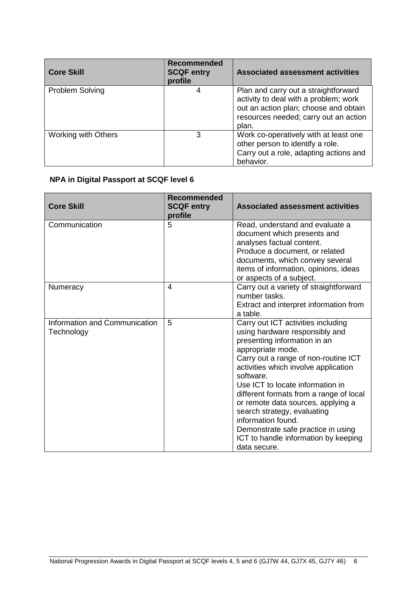| <b>Core Skill</b>          | <b>Recommended</b><br><b>SCQF entry</b><br>profile | <b>Associated assessment activities</b>                                                                                                                                  |
|----------------------------|----------------------------------------------------|--------------------------------------------------------------------------------------------------------------------------------------------------------------------------|
| <b>Problem Solving</b>     |                                                    | Plan and carry out a straightforward<br>activity to deal with a problem; work<br>out an action plan; choose and obtain<br>resources needed; carry out an action<br>plan. |
| <b>Working with Others</b> | 3                                                  | Work co-operatively with at least one<br>other person to identify a role.<br>Carry out a role, adapting actions and<br>behavior.                                         |

#### **NPA in Digital Passport at SCQF level 6**

| <b>Core Skill</b>                           | <b>Recommended</b><br><b>SCQF entry</b><br>profile | <b>Associated assessment activities</b>                                                                                                                                                                                                                                                                                                                                                                                                                                                        |
|---------------------------------------------|----------------------------------------------------|------------------------------------------------------------------------------------------------------------------------------------------------------------------------------------------------------------------------------------------------------------------------------------------------------------------------------------------------------------------------------------------------------------------------------------------------------------------------------------------------|
| Communication                               | 5                                                  | Read, understand and evaluate a<br>document which presents and<br>analyses factual content.<br>Produce a document, or related<br>documents, which convey several<br>items of information, opinions, ideas<br>or aspects of a subject.                                                                                                                                                                                                                                                          |
| <b>Numeracy</b>                             | 4                                                  | Carry out a variety of straightforward<br>number tasks.<br>Extract and interpret information from<br>a table.                                                                                                                                                                                                                                                                                                                                                                                  |
| Information and Communication<br>Technology | 5                                                  | Carry out ICT activities including<br>using hardware responsibly and<br>presenting information in an<br>appropriate mode.<br>Carry out a range of non-routine ICT<br>activities which involve application<br>software.<br>Use ICT to locate information in<br>different formats from a range of local<br>or remote data sources, applying a<br>search strategy, evaluating<br>information found.<br>Demonstrate safe practice in using<br>ICT to handle information by keeping<br>data secure. |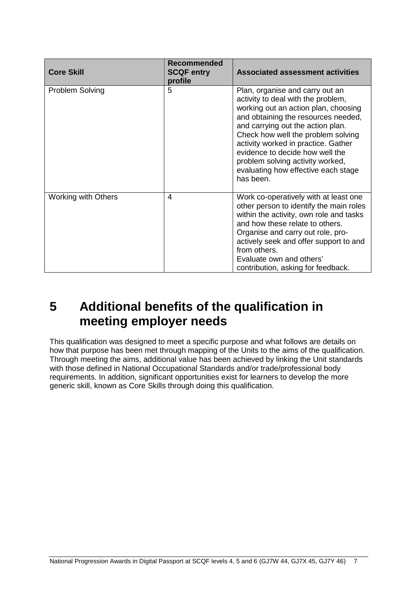| <b>Core Skill</b>          | <b>Recommended</b><br><b>SCQF entry</b><br>profile | <b>Associated assessment activities</b>                                                                                                                                                                                                                                                                                                                                                           |
|----------------------------|----------------------------------------------------|---------------------------------------------------------------------------------------------------------------------------------------------------------------------------------------------------------------------------------------------------------------------------------------------------------------------------------------------------------------------------------------------------|
| Problem Solving            | 5                                                  | Plan, organise and carry out an<br>activity to deal with the problem,<br>working out an action plan, choosing<br>and obtaining the resources needed,<br>and carrying out the action plan.<br>Check how well the problem solving<br>activity worked in practice. Gather<br>evidence to decide how well the<br>problem solving activity worked,<br>evaluating how effective each stage<br>has been. |
| <b>Working with Others</b> | 4                                                  | Work co-operatively with at least one<br>other person to identify the main roles<br>within the activity, own role and tasks<br>and how these relate to others.<br>Organise and carry out role, pro-<br>actively seek and offer support to and<br>from others.<br>Evaluate own and others'<br>contribution, asking for feedback.                                                                   |

# <span id="page-8-0"></span>**5 Additional benefits of the qualification in meeting employer needs**

This qualification was designed to meet a specific purpose and what follows are details on how that purpose has been met through mapping of the Units to the aims of the qualification. Through meeting the aims, additional value has been achieved by linking the Unit standards with those defined in National Occupational Standards and/or trade/professional body requirements. In addition, significant opportunities exist for learners to develop the more generic skill, known as Core Skills through doing this qualification.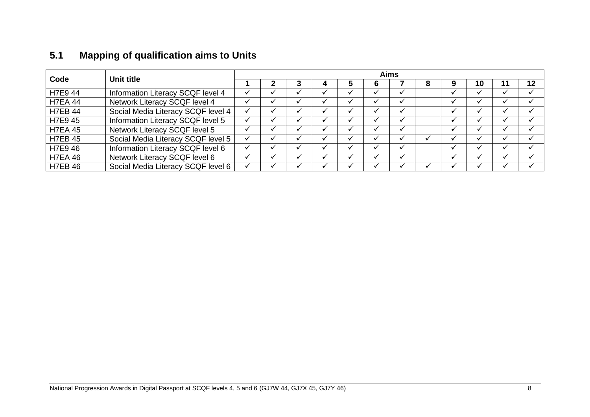| 5.1 |  |  | <b>Mapping of qualification aims to Units</b> |  |  |  |
|-----|--|--|-----------------------------------------------|--|--|--|
|-----|--|--|-----------------------------------------------|--|--|--|

<span id="page-9-0"></span>

| Code           | Unit title                         | <b>Aims</b> |  |  |  |  |   |  |  |  |    |  |    |  |
|----------------|------------------------------------|-------------|--|--|--|--|---|--|--|--|----|--|----|--|
|                |                                    |             |  |  |  |  | 6 |  |  |  | 10 |  | 12 |  |
| H7E9 44        | Information Literacy SCQF level 4  |             |  |  |  |  |   |  |  |  |    |  |    |  |
| <b>H7EA 44</b> | Network Literacy SCQF level 4      |             |  |  |  |  |   |  |  |  |    |  |    |  |
| <b>H7EB 44</b> | Social Media Literacy SCQF level 4 |             |  |  |  |  |   |  |  |  |    |  |    |  |
| H7E9 45        | Information Literacy SCQF level 5  |             |  |  |  |  |   |  |  |  |    |  |    |  |
| <b>H7EA 45</b> | Network Literacy SCQF level 5      |             |  |  |  |  |   |  |  |  |    |  |    |  |
| <b>H7EB 45</b> | Social Media Literacy SCQF level 5 |             |  |  |  |  |   |  |  |  |    |  |    |  |
| H7E9 46        | Information Literacy SCQF level 6  |             |  |  |  |  |   |  |  |  |    |  |    |  |
| <b>H7EA 46</b> | Network Literacy SCQF level 6      |             |  |  |  |  |   |  |  |  |    |  |    |  |
| <b>H7EB 46</b> | Social Media Literacy SCQF level 6 |             |  |  |  |  |   |  |  |  |    |  |    |  |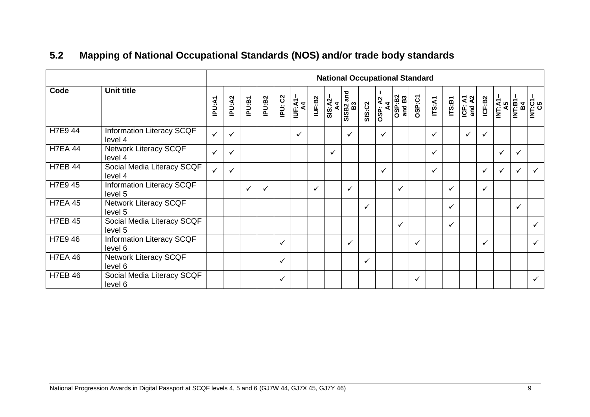<span id="page-10-0"></span>

|                |                                             | <b>National Occupational Standard</b> |              |        |        |              |               |              |                                                         |              |               |                |                  |              |              |              |                                  |        |                            |                     |              |
|----------------|---------------------------------------------|---------------------------------------|--------------|--------|--------|--------------|---------------|--------------|---------------------------------------------------------|--------------|---------------|----------------|------------------|--------------|--------------|--------------|----------------------------------|--------|----------------------------|---------------------|--------------|
| Code           | <b>Unit title</b>                           | <b>IPU:A1</b>                         | IPU:A2       | IPU:B1 | IPU:B2 | IPU: C2      | IUF:A1-<br>A4 | IUF:B2       | $\frac{\text{SIS: A2--}}{\text{A4}}$<br>SISB2 and<br>B3 |              | <b>SIS:C2</b> | <b>OSP: A2</b> | OSP:B2<br>and B3 | OSP:C1       | ITS:A1       | ITS:B1       | $\overline{ICF: A1}$<br>and $A2$ | ICF:B2 | <b>INT:A1–</b><br>– רא:TNI | <b>INT:B1</b><br>B4 | INT:C1<br>C5 |
| H7E9 44        | Information Literacy SCQF<br>level 4        | $\checkmark$                          | $\checkmark$ |        |        |              | $\checkmark$  |              |                                                         | $\checkmark$ |               | $\checkmark$   |                  |              | $\checkmark$ |              | ✓                                | ✓      |                            |                     |              |
| <b>H7EA 44</b> | <b>Network Literacy SCQF</b><br>level 4     | $\checkmark$                          | ✓            |        |        |              |               |              | ✓                                                       |              |               |                |                  |              | $\checkmark$ |              |                                  |        | $\checkmark$               | $\checkmark$        |              |
| <b>H7EB 44</b> | Social Media Literacy SCQF<br>level 4       | $\checkmark$                          | $\checkmark$ |        |        |              |               |              |                                                         |              |               | $\checkmark$   |                  |              | $\checkmark$ |              |                                  | ✓      | $\checkmark$               |                     | ✓            |
| H7E9 45        | Information Literacy SCQF<br>level 5        |                                       |              | ✓      | ✓      |              |               | $\checkmark$ |                                                         | $\checkmark$ |               |                | ✓                |              |              | $\checkmark$ |                                  | ✓      |                            |                     |              |
| <b>H7EA 45</b> | <b>Network Literacy SCQF</b><br>level 5     |                                       |              |        |        |              |               |              |                                                         |              | $\checkmark$  |                |                  |              |              | ✓            |                                  |        |                            | $\checkmark$        |              |
| <b>H7EB 45</b> | Social Media Literacy SCQF<br>level 5       |                                       |              |        |        |              |               |              |                                                         |              |               |                | ✓                |              |              | $\checkmark$ |                                  |        |                            |                     | $\checkmark$ |
| H7E9 46        | <b>Information Literacy SCQF</b><br>level 6 |                                       |              |        |        | ✓            |               |              |                                                         | $\checkmark$ |               |                |                  | $\checkmark$ |              |              |                                  | ✓      |                            |                     | $\checkmark$ |
| <b>H7EA 46</b> | <b>Network Literacy SCQF</b><br>level 6     |                                       |              |        |        | ✓            |               |              |                                                         |              | $\checkmark$  |                |                  |              |              |              |                                  |        |                            |                     |              |
| <b>H7EB 46</b> | Social Media Literacy SCQF<br>level 6       |                                       |              |        |        | $\checkmark$ |               |              |                                                         |              |               |                |                  | $\checkmark$ |              |              |                                  |        |                            |                     | $\checkmark$ |

# **5.2 Mapping of National Occupational Standards (NOS) and/or trade body standards**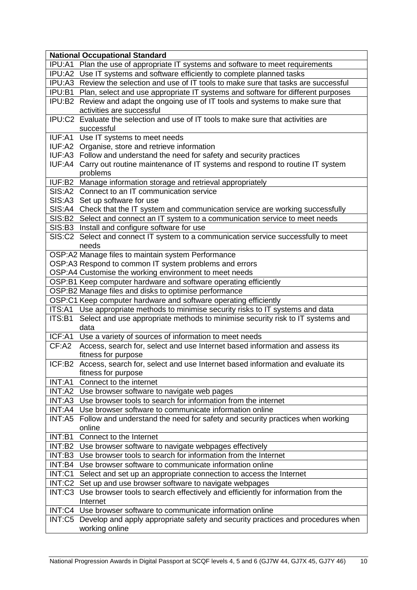|         | <b>National Occupational Standard</b>                                                        |
|---------|----------------------------------------------------------------------------------------------|
|         | IPU:A1 Plan the use of appropriate IT systems and software to meet requirements              |
|         | IPU:A2 Use IT systems and software efficiently to complete planned tasks                     |
|         | IPU:A3 Review the selection and use of IT tools to make sure that tasks are successful       |
|         | IPU:B1 Plan, select and use appropriate IT systems and software for different purposes       |
|         | IPU:B2 Review and adapt the ongoing use of IT tools and systems to make sure that            |
|         | activities are successful                                                                    |
|         | IPU:C2 Evaluate the selection and use of IT tools to make sure that activities are           |
|         | successful                                                                                   |
|         | IUF:A1 Use IT systems to meet needs                                                          |
|         | IUF:A2 Organise, store and retrieve information                                              |
|         | IUF:A3 Follow and understand the need for safety and security practices                      |
|         | IUF:A4 Carry out routine maintenance of IT systems and respond to routine IT system          |
|         | problems                                                                                     |
|         | IUF:B2 Manage information storage and retrieval appropriately                                |
|         | SIS:A2 Connect to an IT communication service                                                |
|         | SIS:A3 Set up software for use                                                               |
|         | SIS:A4 Check that the IT system and communication service are working successfully           |
|         | SIS:B2 Select and connect an IT system to a communication service to meet needs              |
|         | SIS:B3 Install and configure software for use                                                |
|         | SIS:C2 Select and connect IT system to a communication service successfully to meet<br>needs |
|         | OSP:A2 Manage files to maintain system Performance                                           |
|         | OSP:A3 Respond to common IT system problems and errors                                       |
|         | OSP:A4 Customise the working environment to meet needs                                       |
|         | OSP:B1 Keep computer hardware and software operating efficiently                             |
|         | OSP:B2 Manage files and disks to optimise performance                                        |
|         | OSP:C1 Keep computer hardware and software operating efficiently                             |
|         | ITS:A1 Use appropriate methods to minimise security risks to IT systems and data             |
|         | ITS:B1 Select and use appropriate methods to minimise security risk to IT systems and        |
|         | data                                                                                         |
|         | ICF:A1 Use a variety of sources of information to meet needs                                 |
| CF: A2  | Access, search for, select and use Internet based information and assess its                 |
|         | fitness for purpose                                                                          |
|         | ICF:B2 Access, search for, select and use Internet based information and evaluate its        |
|         | fitness for purpose                                                                          |
| INT:A1  | Connect to the internet                                                                      |
|         | INT:A2 Use browser software to navigate web pages                                            |
| INT:A3  | Use browser tools to search for information from the internet                                |
| INT: A4 | Use browser software to communicate information online                                       |
|         | INT:A5 Follow and understand the need for safety and security practices when working         |
|         | online                                                                                       |
| INT: B1 | Connect to the Internet                                                                      |
| INT:B2  | Use browser software to navigate webpages effectively                                        |
| INT:B3  | Use browser tools to search for information from the Internet                                |
|         | INT:B4 Use browser software to communicate information online                                |
| INT: C1 | Select and set up an appropriate connection to access the Internet                           |
|         | INT:C2 Set up and use browser software to navigate webpages                                  |
|         | INT:C3 Use browser tools to search effectively and efficiently for information from the      |
|         | Internet                                                                                     |
|         | INT:C4 Use browser software to communicate information online                                |
|         | INT:C5 Develop and apply appropriate safety and security practices and procedures when       |
|         | working online                                                                               |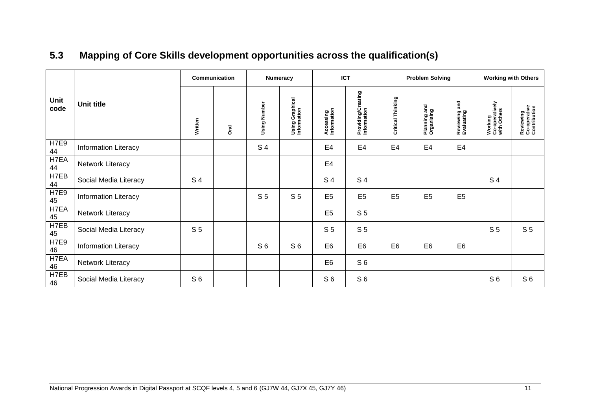<span id="page-12-0"></span>

|                   |                             | Communication  |             | Numeracy       |                                | <b>ICT</b>               |                                   |                   | <b>Problem Solving</b>     |                                | <b>Working with Others</b>               |                                           |  |
|-------------------|-----------------------------|----------------|-------------|----------------|--------------------------------|--------------------------|-----------------------------------|-------------------|----------------------------|--------------------------------|------------------------------------------|-------------------------------------------|--|
| Unit<br>code      | Unit title                  | Written        | <b>Drai</b> |                | Using Graphical<br>Information | Accessing<br>Information | Providing/Creating<br>Information | Critical Thinking | Planning and<br>Organising | and<br>Reviewing<br>Evaluating | Working<br>Co-operatively<br>with Others | Reviewing<br>Co-operative<br>Contribution |  |
| <b>H7E9</b><br>44 | <b>Information Literacy</b> |                |             | S <sub>4</sub> |                                | E <sub>4</sub>           | E4                                | E4                | E <sub>4</sub>             | E <sub>4</sub>                 |                                          |                                           |  |
| H7EA<br>44        | Network Literacy            |                |             |                |                                | E <sub>4</sub>           |                                   |                   |                            |                                |                                          |                                           |  |
| H7EB<br>44        | Social Media Literacy       | S 4            |             |                |                                | S 4                      | S 4                               |                   |                            |                                | S <sub>4</sub>                           |                                           |  |
| H7E9<br>45        | <b>Information Literacy</b> |                |             | S <sub>5</sub> | S <sub>5</sub>                 | E <sub>5</sub>           | E <sub>5</sub>                    | E <sub>5</sub>    | E <sub>5</sub>             | E <sub>5</sub>                 |                                          |                                           |  |
| H7EA<br>45        | Network Literacy            |                |             |                |                                | E <sub>5</sub>           | S <sub>5</sub>                    |                   |                            |                                |                                          |                                           |  |
| H7EB<br>45        | Social Media Literacy       | S <sub>5</sub> |             |                |                                | S <sub>5</sub>           | S <sub>5</sub>                    |                   |                            |                                | S <sub>5</sub>                           | S <sub>5</sub>                            |  |
| <b>H7E9</b><br>46 | <b>Information Literacy</b> |                |             | S <sub>6</sub> | S <sub>6</sub>                 | E <sub>6</sub>           | E <sub>6</sub>                    | E <sub>6</sub>    | E <sub>6</sub>             | E <sub>6</sub>                 |                                          |                                           |  |
| H7EA<br>46        | Network Literacy            |                |             |                |                                | E <sub>6</sub>           | S <sub>6</sub>                    |                   |                            |                                |                                          |                                           |  |
| H7EB<br>46        | Social Media Literacy       | S <sub>6</sub> |             |                |                                | S <sub>6</sub>           | S <sub>6</sub>                    |                   |                            |                                | S <sub>6</sub>                           | S <sub>6</sub>                            |  |

# **5.3 Mapping of Core Skills development opportunities across the qualification(s)**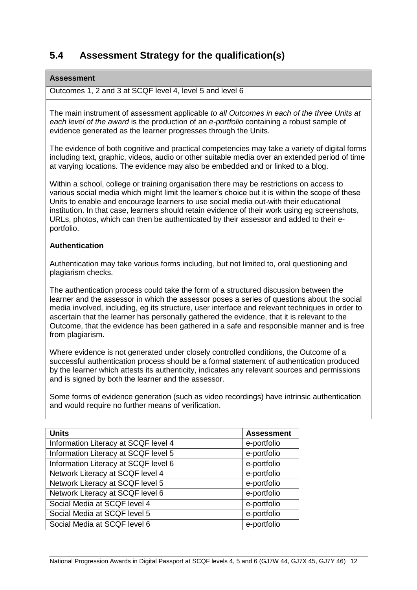## <span id="page-13-0"></span>**5.4 Assessment Strategy for the qualification(s)**

#### **Assessment**

Outcomes 1, 2 and 3 at SCQF level 4, level 5 and level 6

The main instrument of assessment applicable *to all Outcomes in each of the three Units at each level of the award* is the production of an *e-portfolio* containing a robust sample of evidence generated as the learner progresses through the Units.

The evidence of both cognitive and practical competencies may take a variety of digital forms including text, graphic, videos, audio or other suitable media over an extended period of time at varying locations. The evidence may also be embedded and or linked to a blog.

Within a school, college or training organisation there may be restrictions on access to various social media which might limit the learner's choice but it is within the scope of these Units to enable and encourage learners to use social media out-with their educational institution. In that case, learners should retain evidence of their work using eg screenshots, URLs, photos, which can then be authenticated by their assessor and added to their eportfolio.

#### **Authentication**

Authentication may take various forms including, but not limited to, oral questioning and plagiarism checks.

The authentication process could take the form of a structured discussion between the learner and the assessor in which the assessor poses a series of questions about the social media involved, including, eg its structure, user interface and relevant techniques in order to ascertain that the learner has personally gathered the evidence, that it is relevant to the Outcome, that the evidence has been gathered in a safe and responsible manner and is free from plagiarism.

Where evidence is not generated under closely controlled conditions, the Outcome of a successful authentication process should be a formal statement of authentication produced by the learner which attests its authenticity, indicates any relevant sources and permissions and is signed by both the learner and the assessor.

Some forms of evidence generation (such as video recordings) have intrinsic authentication and would require no further means of verification.

| <b>Units</b>                         | <b>Assessment</b> |
|--------------------------------------|-------------------|
| Information Literacy at SCQF level 4 | e-portfolio       |
| Information Literacy at SCQF level 5 | e-portfolio       |
| Information Literacy at SCQF level 6 | e-portfolio       |
| Network Literacy at SCQF level 4     | e-portfolio       |
| Network Literacy at SCQF level 5     | e-portfolio       |
| Network Literacy at SCQF level 6     | e-portfolio       |
| Social Media at SCQF level 4         | e-portfolio       |
| Social Media at SCQF level 5         | e-portfolio       |
| Social Media at SCQF level 6         | e-portfolio       |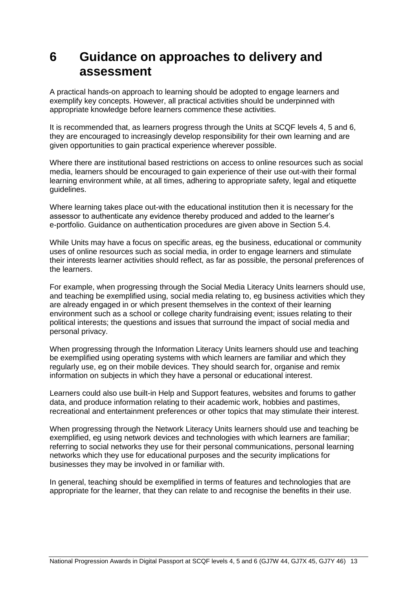# <span id="page-14-0"></span>**6 Guidance on approaches to delivery and assessment**

A practical hands-on approach to learning should be adopted to engage learners and exemplify key concepts. However, all practical activities should be underpinned with appropriate knowledge before learners commence these activities.

It is recommended that, as learners progress through the Units at SCQF levels 4, 5 and 6, they are encouraged to increasingly develop responsibility for their own learning and are given opportunities to gain practical experience wherever possible.

Where there are institutional based restrictions on access to online resources such as social media, learners should be encouraged to gain experience of their use out-with their formal learning environment while, at all times, adhering to appropriate safety, legal and etiquette guidelines.

Where learning takes place out-with the educational institution then it is necessary for the assessor to authenticate any evidence thereby produced and added to the learner's e-portfolio. Guidance on authentication procedures are given above in Section 5.4.

While Units may have a focus on specific areas, eg the business, educational or community uses of online resources such as social media, in order to engage learners and stimulate their interests learner activities should reflect, as far as possible, the personal preferences of the learners.

For example, when progressing through the Social Media Literacy Units learners should use, and teaching be exemplified using, social media relating to, eg business activities which they are already engaged in or which present themselves in the context of their learning environment such as a school or college charity fundraising event; issues relating to their political interests; the questions and issues that surround the impact of social media and personal privacy.

When progressing through the Information Literacy Units learners should use and teaching be exemplified using operating systems with which learners are familiar and which they regularly use, eg on their mobile devices. They should search for, organise and remix information on subjects in which they have a personal or educational interest.

Learners could also use built-in Help and Support features, websites and forums to gather data, and produce information relating to their academic work, hobbies and pastimes, recreational and entertainment preferences or other topics that may stimulate their interest.

When progressing through the Network Literacy Units learners should use and teaching be exemplified, eg using network devices and technologies with which learners are familiar; referring to social networks they use for their personal communications, personal learning networks which they use for educational purposes and the security implications for businesses they may be involved in or familiar with.

In general, teaching should be exemplified in terms of features and technologies that are appropriate for the learner, that they can relate to and recognise the benefits in their use.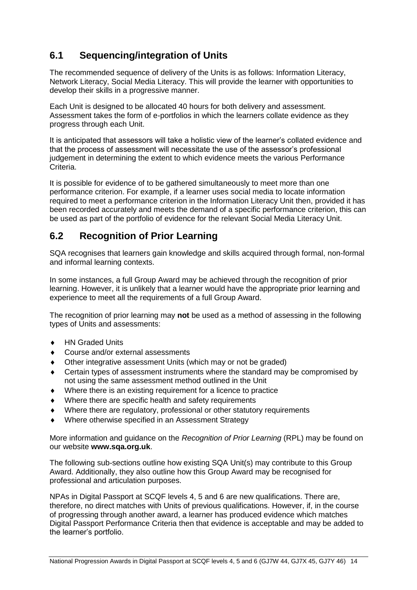# <span id="page-15-0"></span>**6.1 Sequencing/integration of Units**

The recommended sequence of delivery of the Units is as follows: Information Literacy, Network Literacy, Social Media Literacy. This will provide the learner with opportunities to develop their skills in a progressive manner.

Each Unit is designed to be allocated 40 hours for both delivery and assessment. Assessment takes the form of e-portfolios in which the learners collate evidence as they progress through each Unit.

It is anticipated that assessors will take a holistic view of the learner's collated evidence and that the process of assessment will necessitate the use of the assessor's professional judgement in determining the extent to which evidence meets the various Performance Criteria.

It is possible for evidence of to be gathered simultaneously to meet more than one performance criterion. For example, if a learner uses social media to locate information required to meet a performance criterion in the Information Literacy Unit then, provided it has been recorded accurately and meets the demand of a specific performance criterion, this can be used as part of the portfolio of evidence for the relevant Social Media Literacy Unit.

### <span id="page-15-1"></span>**6.2 Recognition of Prior Learning**

SQA recognises that learners gain knowledge and skills acquired through formal, non-formal and informal learning contexts.

In some instances, a full Group Award may be achieved through the recognition of prior learning. However, it is unlikely that a learner would have the appropriate prior learning and experience to meet all the requirements of a full Group Award.

The recognition of prior learning may **not** be used as a method of assessing in the following types of Units and assessments:

- ◆ HN Graded Units
- Course and/or external assessments
- Other integrative assessment Units (which may or not be graded)
- Certain types of assessment instruments where the standard may be compromised by not using the same assessment method outlined in the Unit
- Where there is an existing requirement for a licence to practice
- Where there are specific health and safety requirements
- Where there are regulatory, professional or other statutory requirements
- Where otherwise specified in an Assessment Strategy

More information and guidance on the *Recognition of Prior Learning* (RPL) may be found on our website **[www.sqa.org.uk](http://www.sqa.org.uk/)**.

The following sub-sections outline how existing SQA Unit(s) may contribute to this Group Award. Additionally, they also outline how this Group Award may be recognised for professional and articulation purposes.

NPAs in Digital Passport at SCQF levels 4, 5 and 6 are new qualifications. There are, therefore, no direct matches with Units of previous qualifications. However, if, in the course of progressing through another award, a learner has produced evidence which matches Digital Passport Performance Criteria then that evidence is acceptable and may be added to the learner's portfolio.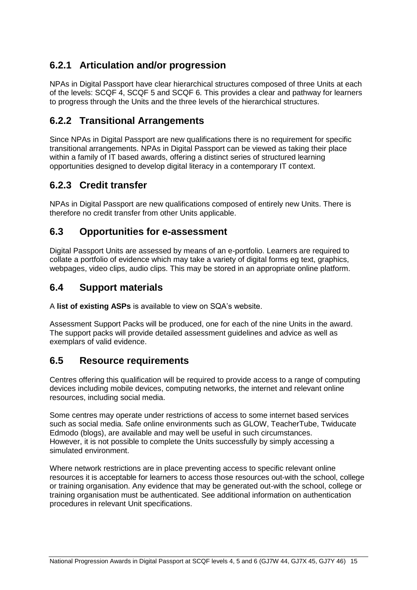## **6.2.1 Articulation and/or progression**

NPAs in Digital Passport have clear hierarchical structures composed of three Units at each of the levels: SCQF 4, SCQF 5 and SCQF 6. This provides a clear and pathway for learners to progress through the Units and the three levels of the hierarchical structures.

### **6.2.2 Transitional Arrangements**

Since NPAs in Digital Passport are new qualifications there is no requirement for specific transitional arrangements. NPAs in Digital Passport can be viewed as taking their place within a family of IT based awards, offering a distinct series of structured learning opportunities designed to develop digital literacy in a contemporary IT context.

## **6.2.3 Credit transfer**

NPAs in Digital Passport are new qualifications composed of entirely new Units. There is therefore no credit transfer from other Units applicable.

### <span id="page-16-0"></span>**6.3 Opportunities for e-assessment**

Digital Passport Units are assessed by means of an e-portfolio. Learners are required to collate a portfolio of evidence which may take a variety of digital forms eg text, graphics, webpages, video clips, audio clips. This may be stored in an appropriate online platform.

### <span id="page-16-1"></span>**6.4 Support materials**

A **[list of existing ASPs](http://www.sqa.org.uk/sqa/46233.2769.html)** is available to view on SQA's website.

Assessment Support Packs will be produced, one for each of the nine Units in the award. The support packs will provide detailed assessment guidelines and advice as well as exemplars of valid evidence.

### <span id="page-16-2"></span>**6.5 Resource requirements**

Centres offering this qualification will be required to provide access to a range of computing devices including mobile devices, computing networks, the internet and relevant online resources, including social media.

Some centres may operate under restrictions of access to some internet based services such as social media. Safe online environments such as GLOW, TeacherTube, Twiducate Edmodo (blogs), are available and may well be useful in such circumstances. However, it is not possible to complete the Units successfully by simply accessing a simulated environment.

Where network restrictions are in place preventing access to specific relevant online resources it is acceptable for learners to access those resources out-with the school, college or training organisation. Any evidence that may be generated out-with the school, college or training organisation must be authenticated. See additional information on authentication procedures in relevant Unit specifications.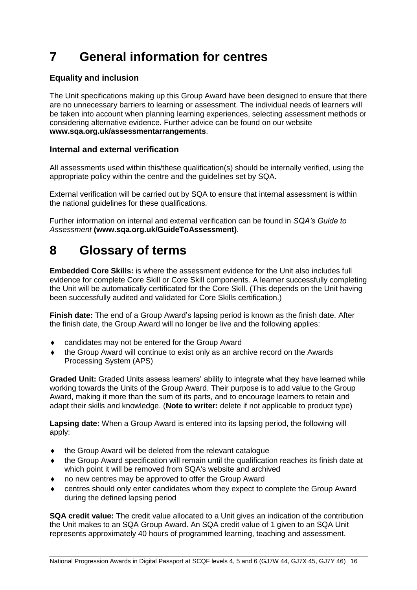# <span id="page-17-0"></span>**7 General information for centres**

#### **Equality and inclusion**

The Unit specifications making up this Group Award have been designed to ensure that there are no unnecessary barriers to learning or assessment. The individual needs of learners will be taken into account when planning learning experiences, selecting assessment methods or considering alternative evidence. Further advice can be found on our website **[www.sqa.org.uk/assessmentarrangements](http://www.sqa.org.uk/sqa/14977.html)**.

#### **Internal and external verification**

All assessments used within this/these qualification(s) should be internally verified, using the appropriate policy within the centre and the guidelines set by SQA.

External verification will be carried out by SQA to ensure that internal assessment is within the national guidelines for these qualifications.

Further information on internal and external verification can be found in *SQA's Guide to Assessment* **[\(www.sqa.org.uk/GuideToAssessment\)](http://www.sqa.org.uk/sqa/files_ccc/GuideToAssessment.pdf)**.

# <span id="page-17-1"></span>**8 Glossary of terms**

**Embedded Core Skills:** is where the assessment evidence for the Unit also includes full evidence for complete Core Skill or Core Skill components. A learner successfully completing the Unit will be automatically certificated for the Core Skill. (This depends on the Unit having been successfully audited and validated for Core Skills certification.)

**Finish date:** The end of a Group Award's lapsing period is known as the finish date. After the finish date, the Group Award will no longer be live and the following applies:

- candidates may not be entered for the Group Award
- the Group Award will continue to exist only as an archive record on the Awards Processing System (APS)

**Graded Unit:** Graded Units assess learners' ability to integrate what they have learned while working towards the Units of the Group Award. Their purpose is to add value to the Group Award, making it more than the sum of its parts, and to encourage learners to retain and adapt their skills and knowledge. (**Note to writer:** delete if not applicable to product type)

**Lapsing date:** When a Group Award is entered into its lapsing period, the following will apply:

- the Group Award will be deleted from the relevant catalogue
- the Group Award specification will remain until the qualification reaches its finish date at which point it will be removed from SQA's website and archived
- no new centres may be approved to offer the Group Award
- centres should only enter candidates whom they expect to complete the Group Award during the defined lapsing period

**SQA credit value:** The credit value allocated to a Unit gives an indication of the contribution the Unit makes to an SQA Group Award. An SQA credit value of 1 given to an SQA Unit represents approximately 40 hours of programmed learning, teaching and assessment.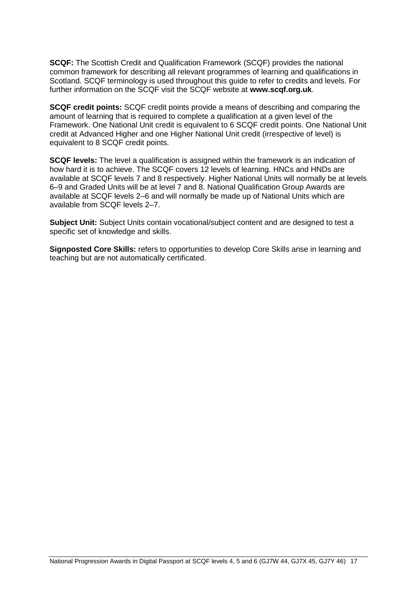**SCQF:** The Scottish Credit and Qualification Framework (SCQF) provides the national common framework for describing all relevant programmes of learning and qualifications in Scotland. SCQF terminology is used throughout this guide to refer to credits and levels. For further information on the SCQF visit the SCQF website at **[www.scqf.org.uk](http://www.scqf.org.uk/)**.

**SCQF credit points:** SCQF credit points provide a means of describing and comparing the amount of learning that is required to complete a qualification at a given level of the Framework. One National Unit credit is equivalent to 6 SCQF credit points. One National Unit credit at Advanced Higher and one Higher National Unit credit (irrespective of level) is equivalent to 8 SCQF credit points.

**SCQF levels:** The level a qualification is assigned within the framework is an indication of how hard it is to achieve. The SCQF covers 12 levels of learning. HNCs and HNDs are available at SCQF levels 7 and 8 respectively. Higher National Units will normally be at levels 6–9 and Graded Units will be at level 7 and 8. National Qualification Group Awards are available at SCQF levels 2–6 and will normally be made up of National Units which are available from SCQF levels 2–7.

**Subject Unit:** Subject Units contain vocational/subject content and are designed to test a specific set of knowledge and skills.

**Signposted Core Skills:** refers to opportunities to develop Core Skills arise in learning and teaching but are not automatically certificated.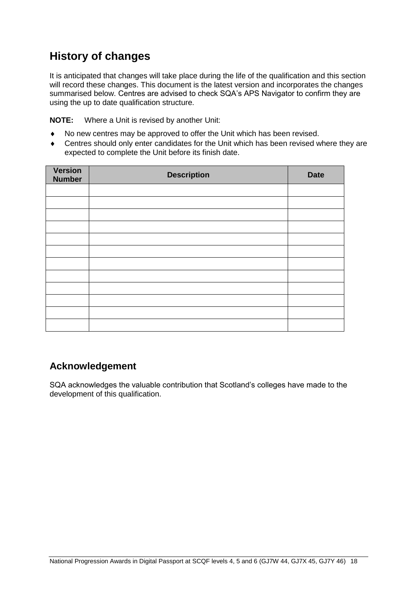# **History of changes**

It is anticipated that changes will take place during the life of the qualification and this section will record these changes. This document is the latest version and incorporates the changes summarised below. Centres are advised to check SQA's APS Navigator to confirm they are using the up to date qualification structure.

**NOTE:** Where a Unit is revised by another Unit:

- No new centres may be approved to offer the Unit which has been revised.
- Centres should only enter candidates for the Unit which has been revised where they are expected to complete the Unit before its finish date.

| Version<br><b>Number</b> | <b>Description</b> | <b>Date</b> |
|--------------------------|--------------------|-------------|
|                          |                    |             |
|                          |                    |             |
|                          |                    |             |
|                          |                    |             |
|                          |                    |             |
|                          |                    |             |
|                          |                    |             |
|                          |                    |             |
|                          |                    |             |
|                          |                    |             |
|                          |                    |             |
|                          |                    |             |

## **Acknowledgement**

SQA acknowledges the valuable contribution that Scotland's colleges have made to the development of this qualification.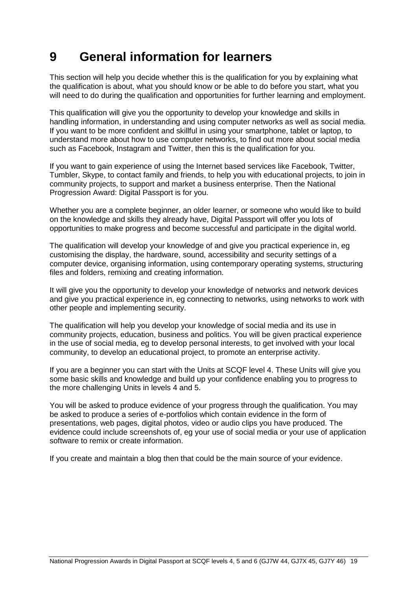# <span id="page-20-0"></span>**9 General information for learners**

This section will help you decide whether this is the qualification for you by explaining what the qualification is about, what you should know or be able to do before you start, what you will need to do during the qualification and opportunities for further learning and employment.

This qualification will give you the opportunity to develop your knowledge and skills in handling information, in understanding and using computer networks as well as social media. If you want to be more confident and skillful in using your smartphone, tablet or laptop, to understand more about how to use computer networks, to find out more about social media such as Facebook, Instagram and Twitter, then this is the qualification for you.

If you want to gain experience of using the Internet based services like Facebook, Twitter, Tumbler, Skype, to contact family and friends, to help you with educational projects, to join in community projects, to support and market a business enterprise. Then the National Progression Award: Digital Passport is for you.

Whether you are a complete beginner, an older learner, or someone who would like to build on the knowledge and skills they already have, Digital Passport will offer you lots of opportunities to make progress and become successful and participate in the digital world.

The qualification will develop your knowledge of and give you practical experience in, eg customising the display, the hardware, sound, accessibility and security settings of a computer device, organising information, using contemporary operating systems, structuring files and folders, remixing and creating information.

It will give you the opportunity to develop your knowledge of networks and network devices and give you practical experience in, eg connecting to networks, using networks to work with other people and implementing security.

The qualification will help you develop your knowledge of social media and its use in community projects, education, business and politics. You will be given practical experience in the use of social media, eg to develop personal interests, to get involved with your local community, to develop an educational project, to promote an enterprise activity.

If you are a beginner you can start with the Units at SCQF level 4. These Units will give you some basic skills and knowledge and build up your confidence enabling you to progress to the more challenging Units in levels 4 and 5.

You will be asked to produce evidence of your progress through the qualification. You may be asked to produce a series of e-portfolios which contain evidence in the form of presentations, web pages, digital photos, video or audio clips you have produced. The evidence could include screenshots of, eg your use of social media or your use of application software to remix or create information.

If you create and maintain a blog then that could be the main source of your evidence.